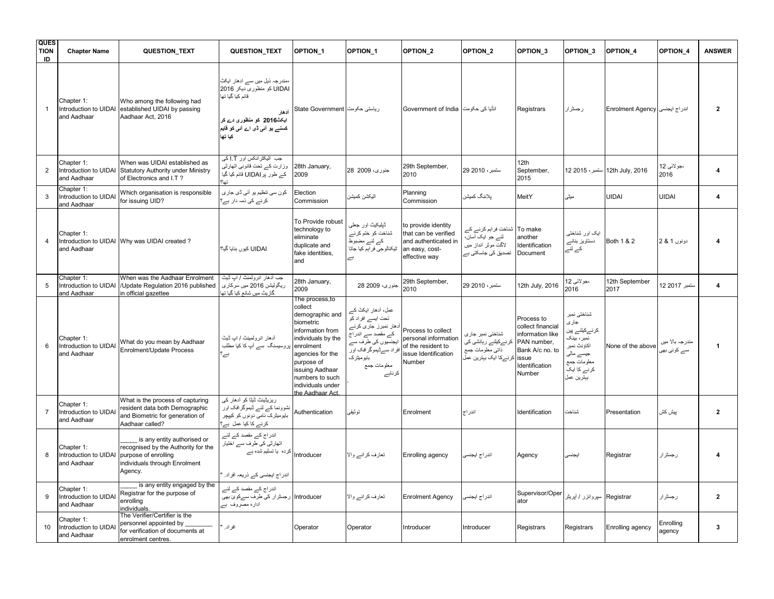| <b>QUES</b><br><b>TION</b><br>ID | <b>Chapter Name</b>                                | <b>QUESTION_TEXT</b>                                                                                                                   | QUESTION_TEXT                                                                                                                                                    | OPTION <sub>1</sub>                                                                                                                                                                                                               | OPTION <sub>1</sub>                                                                                                                                                         | OPTION <sub>2</sub>                                                                                    | OPTION <sub>2</sub>                                                                     | OPTION <sub>3</sub>                                                                                                        | OPTION 3                                                                                                                     | OPTION_4                          | <b>OPTION 4</b>                 | <b>ANSWER</b>           |
|----------------------------------|----------------------------------------------------|----------------------------------------------------------------------------------------------------------------------------------------|------------------------------------------------------------------------------------------------------------------------------------------------------------------|-----------------------------------------------------------------------------------------------------------------------------------------------------------------------------------------------------------------------------------|-----------------------------------------------------------------------------------------------------------------------------------------------------------------------------|--------------------------------------------------------------------------------------------------------|-----------------------------------------------------------------------------------------|----------------------------------------------------------------------------------------------------------------------------|------------------------------------------------------------------------------------------------------------------------------|-----------------------------------|---------------------------------|-------------------------|
| -1                               | Chapter 1:<br>Introduction to UIDAI<br>and Aadhaar | Who among the following had<br>established UIDAI by passing<br>Aadhaar Act. 2016                                                       | ،مندر جہ ذیل میں سے ادھار ایکٹ<br>UIDAI کو منظوری دیکر 2016<br>قائم کیا گیا تھا<br>أدهار<br>ایکٹ2016 کو منظوری دے کر<br>کسلے یو آنی ڈی اے آنی کو قایم<br>كيا تها | ریاستی حکومت State Government                                                                                                                                                                                                     |                                                                                                                                                                             | انڈیا کی حکومت Government of India                                                                     |                                                                                         | Registrars                                                                                                                 | رجسٹرار                                                                                                                      | اندراج ايجنسي Enrolment Agency    |                                 | $\overline{2}$          |
| 2                                | Chapter 1:<br>Introduction to UIDAI<br>and Aadhaar | When was UIDAI established as<br>Statutory Authority under Ministry<br>of Electronics and I.T?                                         | جب الیکٹرانکس اور I.T کی<br>وزارت كسر تحت قانوني اتهارثي<br>کے طور پر UIDAI قائم کیا گیا                                                                         | 28th January,<br>2009                                                                                                                                                                                                             | جنوري، 2009 28                                                                                                                                                              | 29th September,<br>2010                                                                                | ستمبر ، 2010 29                                                                         | 12th<br>September,<br>2015                                                                                                 |                                                                                                                              | 12th July, 2016   ستمبر ، 2015 12 | ،جو لائي 12<br>2016             | 4                       |
| 3                                | Chapter 1:<br>Introduction to UIDA<br>and Aadhaar  | Which organisation is responsible<br>for issuing UID?                                                                                  | کون سی تنظیم یو آئی ڈی جاری<br>کرنے کی ذمہ دار ہے؟                                                                                                               | Election<br>Commission                                                                                                                                                                                                            | اليكشن كميشن                                                                                                                                                                | Planning<br>Commission                                                                                 | بلاننگ كميشز                                                                            | MeitY                                                                                                                      | میٹی                                                                                                                         | <b>UIDAI</b>                      | <b>UIDAI</b>                    | $\overline{\mathbf{4}}$ |
| $\overline{4}$                   | Chapter 1:<br>and Aadhaar                          | Introduction to UIDAI Why was UIDAI created?                                                                                           | UIDAI کیوں بنایا گیا؟                                                                                                                                            | To Provide robust<br>technology to<br>eliminate<br>duplicate and<br>fake identities,<br>and                                                                                                                                       | ٹیلیکیٹ اور جعلمی<br>شناخت کو ختم کرنے<br>کے لئے مضبوط<br>تْتِكنالوجي فرابِم كيا جاتا<br>Ë,                                                                                 | to provide identity<br>that can be verified<br>and authenticated in<br>an easy, cost-<br>effective way | شناخت فراہم کرنے کے<br>لئے جو ایک آسان،<br>لاگت موثر انداز میں<br>تصدیق کی جاسکتی ہے    | To make<br>another<br>Identification<br>Document                                                                           | ایک اور شناختے<br>دستاویز بنانے<br>کے لئے                                                                                    | Both 1 & 2                        | دونوں 1 & 2                     |                         |
| 5                                | Chapter 1:<br>Introduction to UIDAI<br>and Aadhaar | When was the Aadhaar Enrolment<br>/Update Regulation 2016 published<br>in official gazettee                                            | جب آدهار انرولمنٹ / اب ڈیٹ<br>ريگوليشن 2016 ميں سركارى<br>گاز بٹ میں شائع کیا گیا تھ                                                                             | 28th January,<br>2009                                                                                                                                                                                                             | جنوري، 2009 28                                                                                                                                                              | 29th September,<br>2010                                                                                | ستمبر ، 2010 29                                                                         | 12th July, 2016                                                                                                            | ،جو لائي 12<br>2016                                                                                                          | 12th September<br>2017            | ستمبر 2017 12                   | 4                       |
| 6                                | Chapter 1:<br>Introduction to UIDAI<br>and Aadhaar | What do you mean by Aadhaar<br>Enrolment/Update Process                                                                                | أدهار انرولمينتْ / اب ڈيٹ<br>پروسیسنگ سے آپ کا کیا مطلب<br>ہے:                                                                                                   | The process, to<br>collect<br>demographic and<br>biometric<br>information from<br>individuals by the<br>enrolment<br>agencies for the<br>purpose of<br>issuing Aadhaar<br>numbers to such<br>individuals under<br>the Aadhaar Act | عمل، أدهار ایکٹ کے<br>تحت ایسے افراد کو<br>آدھار نمبرز جاری کرنے<br>کے مقصد سے اندر اج<br>ایجنسیوں کی طرف سے<br>افراد سےڈیموگرافک اور<br>بايوميٹرک<br>معلومات جمع<br>کرناہے | Process to collect<br>personal information<br>of the resident to<br>issue Identification<br>Number     | شناختي نمبر جاري<br>کرنےکیلئے رہائشی کی<br>ذاتي معلومات جمع<br>كرنـــركا ايك ببترين عمل | Process to<br>collect financial<br>information like<br>PAN number,<br>Bank A/c no. to<br>issue<br>Identification<br>Number | شناختى نمبر<br>جارى<br>کر نےکیلئے پین<br>نمبر ، بینک<br>اكاؤنث نمبر<br>جیسے مالی<br>معلومات جمع<br>کرنے کا ایک<br>بېترين عمل | None of the above                 | مندر جہ بالا میں<br>سے کوئی بھی | $\overline{\mathbf{1}}$ |
| $\overline{7}$                   | Chapter 1:<br>Introduction to UIDA<br>and Aadhaar  | What is the process of capturing<br>resident data both Demographic<br>and Biometric for generation of<br>Aadhaar called?               | ریزیٹینٹ ٹیٹا کو آدھار کی<br>نشوونما کے لئے ڈیموگر افک اور<br>بایومیٹرک نامی دونوں کو کیپچر<br>کرنے کا کیا عمل ہے؟                                               | Authentication                                                                                                                                                                                                                    | توثيقي                                                                                                                                                                      | Enrolment                                                                                              | اندر اج                                                                                 | Identification                                                                                                             | شناخت                                                                                                                        | Presentation                      | بيش كش                          | $\mathbf{2}$            |
| 8                                | Chapter 1:<br>Introduction to UIDAI<br>and Aadhaar | is any entity authorised or<br>recognised by the Authority for the<br>purpose of enrolling<br>individuals through Enrolment<br>Agency. | اندراج کے مقصد کے لئے<br>اتھارٹی کی طرف سے اختیار<br>کردہ یا تسلیم شدہ ہے<br>اندراج ایجنسی کے ذریعہ افراد                                                        | Introducer                                                                                                                                                                                                                        | تعارف كرانے والا                                                                                                                                                            | Enrolling agency                                                                                       | اندر اج ايجنسر                                                                          | Agency                                                                                                                     | ايجنسي                                                                                                                       | Registrar                         | رجسٹرار                         |                         |
| 9                                | Chapter 1:<br>Introduction to UIDAI<br>and Aadhaar | is any entity engaged by the<br>Registrar for the purpose of<br>enrolling<br>individuals.                                              | اندراج کے مقصد کے لئے<br>Introducer   رجسٹرار کی طرف سےکوئ بھی<br>ادارہ مصروف ہے                                                                                 |                                                                                                                                                                                                                                   | تعارف كرانے والا                                                                                                                                                            | <b>Enrolment Agency</b>                                                                                | اندر اج ایجنسی                                                                          | Supervisor/Oper<br>ator                                                                                                    | Registrar   سپروائزر / أپريٹر                                                                                                |                                   | رجسٹرار                         | $\overline{2}$          |
| 10                               | Chapter 1:<br>Introduction to UIDA<br>and Aadhaar  | The Verifier/Certifier is the<br>personnel appointed by<br>for verification of documents at<br>enrolment centres.                      | افر اد ِ                                                                                                                                                         | Operator                                                                                                                                                                                                                          | Operator                                                                                                                                                                    | Introducer                                                                                             | Introducer                                                                              | Registrars                                                                                                                 | Registrars                                                                                                                   | Enrolling agency                  | Enrolling<br>agency             | 3                       |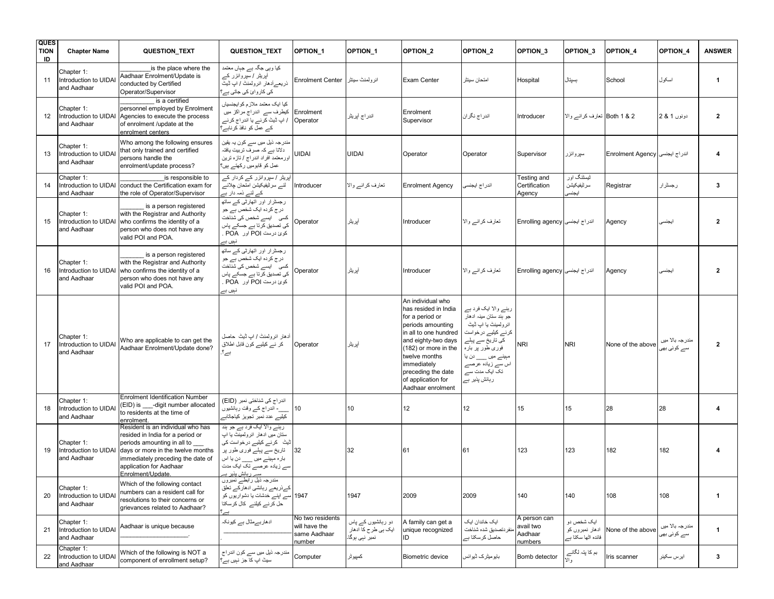| <b>QUES</b><br><b>TION</b><br>ID | <b>Chapter Name</b>                                | <b>QUESTION_TEXT</b>                                                                                                                                                                                                           | QUESTION_TEXT                                                                                                                                                                                                                          | OPTION <sub>1</sub>                                         | <b>OPTION 1</b>                                             | OPTION <sub>2</sub>                                                                                                                                                                                                                                        | OPTION <sub>2</sub>                                                                                                                                                                                               | OPTION <sub>3</sub>                             | OPTION 3                                            | <b>OPTION 4</b>                | OPTION 4                        | <b>ANSWER</b>  |
|----------------------------------|----------------------------------------------------|--------------------------------------------------------------------------------------------------------------------------------------------------------------------------------------------------------------------------------|----------------------------------------------------------------------------------------------------------------------------------------------------------------------------------------------------------------------------------------|-------------------------------------------------------------|-------------------------------------------------------------|------------------------------------------------------------------------------------------------------------------------------------------------------------------------------------------------------------------------------------------------------------|-------------------------------------------------------------------------------------------------------------------------------------------------------------------------------------------------------------------|-------------------------------------------------|-----------------------------------------------------|--------------------------------|---------------------------------|----------------|
| 11                               | Chapter 1:<br>Introduction to UIDA<br>and Aadhaar  | is the place where the<br>Aadhaar Enrolment/Update is<br>conducted by Certified<br>Operator/Supervisor                                                                                                                         | کیا وہی جگہ ہے جہاں معتمد<br>آپریٹر /سپروائزر کے<br>ذریعـــرادهار انرولمنث / اپ ڈیٹ<br>کی کاروائ کی جاتی ہے؟                                                                                                                           | انرولمنٹ سینٹر Enrolment Center                             |                                                             | Exam Center                                                                                                                                                                                                                                                | امتحان سينثر                                                                                                                                                                                                      | Hospital                                        | بسيتال                                              | School                         | اسكول                           | $\mathbf{1}$   |
| 12 <sup>°</sup>                  | Chapter 1:<br>Introduction to UIDAI<br>and Aadhaar | is a certified<br>personnel employed by Enrolment<br>Agencies to execute the process<br>of enrolment /update at the<br>enrolment centers                                                                                       | کیا ایک معتمد ملازم کو ایجنسیاں<br>کیطرف سے اندراج مراکز میں<br>/ اپ ڈیٹ کرنے یا اندراج کرنے<br>کے عمل کو نافذ کرناہے؟                                                                                                                 | Enrolment<br>Operator                                       | اندراج أپريٹر                                               | Enrolment<br>Supervisor                                                                                                                                                                                                                                    | اندر اج نگر ان                                                                                                                                                                                                    | Introducer                                      | Both 1 & 2   تعارف كرانه والا                       |                                | دونوں 1 & 2                     | $\overline{2}$ |
| 13                               | Chapter 1:<br>Introduction to UIDA<br>and Aadhaar  | Who among the following ensures<br>that only trained and certified<br>persons handle the<br>enrolment/update process?                                                                                                          | مندر جہ ذیل میں سے کون یہ یقین<br>دلاتا ہے کہ صرف تربیت یافتہ<br>اور معتمد افراد اندر اج / تازه ترين<br>عمل کو قابومیں رکھتے ہیں؟                                                                                                      | UIDAI                                                       | <b>UIDAI</b>                                                | Operator                                                                                                                                                                                                                                                   | Operator                                                                                                                                                                                                          | Supervisor                                      | سيروائزر                                            | اندراج ايجنسى Enrolment Agency |                                 | 4              |
| 14                               | Chapter 1:<br>and Aadhaar                          | is responsible to<br>Introduction to UIDAI conduct the Certification exam for<br>the role of Operator/Supervisor                                                                                                               | آپریٹر /سپروائزر کے کردار کے<br>لئے سرٹیفیکیشن امتحان چلانے<br>کے لئے ذمہ دار ہے                                                                                                                                                       | Introducer                                                  | تعارف كرانے والا                                            | <b>Enrolment Agency</b>                                                                                                                                                                                                                                    | اندراج ايجنسى                                                                                                                                                                                                     | Testing and<br>Certification<br>Agency          | ٹیسٹنگ اور<br>سرتيفيكيشن<br>ايجنسي                  | Registrar                      | رجسترار                         | 3              |
| 15                               | Chapter 1:<br>Introduction to UIDAI<br>and Aadhaar | is a person registered<br>with the Registrar and Authority<br>who confirms the identity of a<br>person who does not have any<br>valid POI and POA.                                                                             | رجسٹرار اور اتھارٹی کے ساتھ<br>در ج کر دہ ایک شخص ہے جو<br>کسی ایسے شخص کی شناخت<br>کی تصدیق کر تا ہے جسکے پا <i>س</i><br>کوئ درست POI اور POA<br>نہیں ہے                                                                              | Operator                                                    | أپريٹر                                                      | Introducer                                                                                                                                                                                                                                                 | تعارف كرانے والا                                                                                                                                                                                                  | اندراج ايجنسى Enrolling agency                  |                                                     | Agency                         | ايجنسي                          | $\mathbf{2}$   |
| 16                               | Chapter 1:<br>Introduction to UIDAI<br>and Aadhaar | is a person registered<br>with the Registrar and Authority<br>who confirms the identity of a<br>person who does not have any<br>valid POI and POA.                                                                             | رجسٹرار اور اتھارٹی کے ساتھ<br>در ج کر دہ ایک شخص ہے جو<br>کسی ایسے شخص کی شناخت<br>کی تصدیق کر تا ہے جسکے پاس<br>كوئ درست POI اور POA<br>نہیں ہے                                                                                      | Operator                                                    | أيريثر                                                      | Introducer                                                                                                                                                                                                                                                 | تعارف کر انے والا                                                                                                                                                                                                 | اندراج ايجنسى Enrolling agency                  |                                                     | Agency                         | ايجنسي                          | $\mathbf{2}$   |
| 17                               | Chapter 1:<br>Introduction to UIDAI<br>and Aadhaar | Who are applicable to can get the<br>Aadhaar Enrolment/Update done?                                                                                                                                                            | آدهار انرولمنٹ / اب ڈیٹ حاصل<br>کر نے کیلیے کون قابل اطلاق<br>ہے؟                                                                                                                                                                      | Operator                                                    | أيريتر                                                      | An individual who<br>has resided in India<br>for a period or<br>periods amounting<br>in all to one hundred<br>and eighty-two days<br>(182) or more in the<br>twelve months<br>immediately<br>preceding the date<br>of application for<br>Aadhaar enrolment | رہنے والا ایک فرد ہے<br>جو ٻند ستان مينہ ادهار<br>انر ولمینٹ یا اپ ڈیٹ<br>کرنے کیلیے درخواست<br>کی تاریخ سے پہلے<br>فوري طور پر باره<br>مېينے ميں ___ دن يا<br>اس سے زیادہ عرصے<br>تک ایک مدت سے<br>رہائش پذیر ہے | <b>NRI</b>                                      | <b>NRI</b>                                          | None of the above              | مندر جہ بالا میں<br>سے کوئی بھی | $\overline{2}$ |
| 18                               | Chapter 1:<br>Introduction to UIDA<br>and Aadhaar  | <b>Enrolment Identification Number</b><br>(EID) is -digit number allocated<br>to residents at the time of<br>enrolment.                                                                                                        | اندر اج کی شناختی نمبر (EID)<br>__- اندر اج کے وقت رہائشیوں<br>کیلیے عدد نمبر تجویز کیاجاتاہے                                                                                                                                          | 10                                                          | 10                                                          | 12                                                                                                                                                                                                                                                         | 12 <sup>°</sup>                                                                                                                                                                                                   | 15                                              | 15                                                  | 28                             | 28                              | 4              |
| 19                               | Chapter 1:<br>Introduction to UIDAI<br>and Aadhaar | Resident is an individual who has<br>resided in India for a period or<br>periods amounting in all to<br>days or more in the twelve months<br>immediately preceding the date of<br>application for Aadhaar<br>Enrolment/Update. | رہنے والا ایک فرد ہے جو ہند<br>ستان میں ادھار انر ولمینٹ یا اب<br>ڈیٹ   کرنے کیلیے درخواست کی<br>تاریخ سے پہلے فوری طور پر<br>بار ہ مېينے ميں ____ دن يا اس<br>سے زیادہ عرصے تک ایک مدت<br>سے ربائش یذیر ہے<br>مندرجہ ذیل رابطے نمبروں | 32                                                          | 32                                                          | 61                                                                                                                                                                                                                                                         | 61                                                                                                                                                                                                                | 123                                             | 123                                                 | 182                            | 182                             | 4              |
| 20                               | Chapter 1:<br>Introduction to UIDA<br>and Aadhaar  | Which of the following contact<br>numbers can a resident call for<br>resolutions to their concerns or<br>grievances related to Aadhaar?                                                                                        | کےذریعے ربائشی ادھارکے تعلق<br>1947 سے اپنے خدشات یا دشواریوں کو<br>حل کرنے کیلئے کال کرسکتا                                                                                                                                           |                                                             | 1947                                                        | 2009                                                                                                                                                                                                                                                       | 2009                                                                                                                                                                                                              | 140                                             | 140                                                 | 108                            | 108                             | $\mathbf{1}$   |
| 21                               | Chapter 1:<br>Introduction to UIDAI<br>and Aadhaar | Aadhaar is unique because                                                                                                                                                                                                      | ادھاربےمثال ہے کیونکہ                                                                                                                                                                                                                  | No two residents<br>will have the<br>same Aadhaar<br>number | دو ربائشیوں کے پاس<br>ایک ہی طرح کا ادھار<br>نمبر نہی ہوگا۔ | A family can get a<br>unique recognized<br>ID                                                                                                                                                                                                              | ایک خاندان ایک<br>منفر دتصديق شده شناخت<br>حاصل کرسکتا ہے                                                                                                                                                         | A person can<br>avail two<br>Aadhaar<br>numbers | ايک شخص دو<br>ادهار نمبروں کو<br>فائدہ اٹھا سکتا ہے | None of the above              | مندر جہ بالا میں<br>سے کوئی بھر | $\mathbf{1}$   |
| 22                               | Chapter 1:<br>Introduction to UIDA<br>and Aadhaar  | Which of the following is NOT a<br>component of enrollment setup?                                                                                                                                                              | مندر جہ ذیل میں سے کون اندر اج<br>سیٹ اپ کا جز نہیں ہے؟                                                                                                                                                                                | Computer                                                    | كمپيوٹر                                                     | <b>Biometric device</b>                                                                                                                                                                                                                                    | بایومیٹرک ٹیوائس                                                                                                                                                                                                  | Bomb detector                                   | بم کا پنّہ لگانے<br>والا                            | Iris scanner                   | ايرس سكينر                      | $\mathbf{3}$   |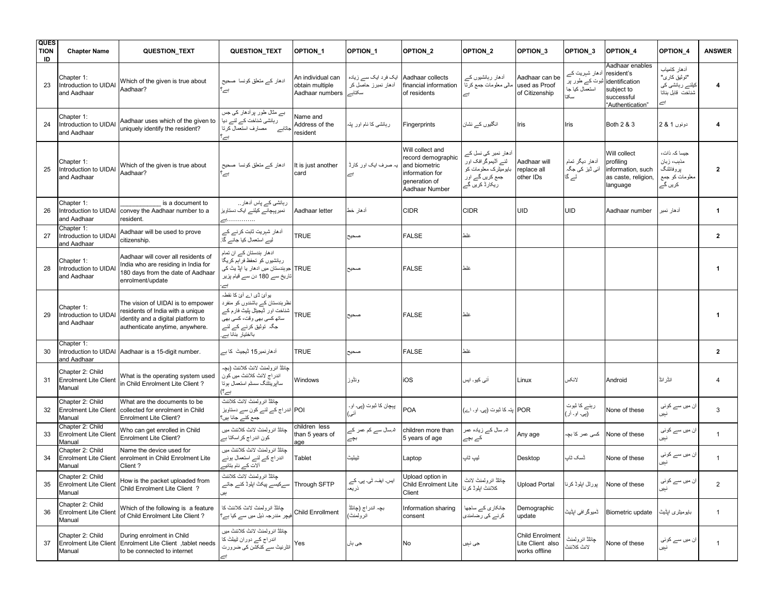| <b>QUES</b><br><b>TION</b><br>ID | <b>Chapter Name</b>                                        | <b>QUESTION_TEXT</b>                                                                                                                           | <b>QUESTION_TEXT</b>                                                                                                                                                       | OPTION <sub>1</sub>                                     | <b>OPTION 1</b>                                                          | OPTION <sub>2</sub>                                                                                           | OPTION <sub>2</sub>                                                                                     | OPTION <sub>3</sub>                                         | OPTION 3                                                                 | <b>OPTION 4</b>                                                                   | OPTION 4                                                               | <b>ANSWER</b>           |
|----------------------------------|------------------------------------------------------------|------------------------------------------------------------------------------------------------------------------------------------------------|----------------------------------------------------------------------------------------------------------------------------------------------------------------------------|---------------------------------------------------------|--------------------------------------------------------------------------|---------------------------------------------------------------------------------------------------------------|---------------------------------------------------------------------------------------------------------|-------------------------------------------------------------|--------------------------------------------------------------------------|-----------------------------------------------------------------------------------|------------------------------------------------------------------------|-------------------------|
| 23                               | Chapter 1:<br>Introduction to UIDAI<br>and Aadhaar         | Which of the given is true about<br>Aadhaar?                                                                                                   | ادھار کے منعلق کونسا صحیح<br>ہے'                                                                                                                                           | An individual can<br>obtain multiple<br>Aadhaar numbers | Aadhaar collects   ایک فرد ایک سے زیادہ<br>أدهار نمبرز حاصل كر<br>سكتابه | financial information<br>of residents                                                                         | آدھار رہائشیوں کے<br>مالي معلومات جمع كرتا<br>ہے                                                        | Aadhaar can be<br>used as Proof<br>of Citizenship           | آدھار شہریت کے<br>identification شوت کے طور پر<br>استعمال کیا جا<br>سكتا | Aadhaar enables<br>resident's<br>subject to<br>successful<br>"Authentication"     | أدهار كامياب<br>"توثيق كار ي"<br>کیلئے رہائشی کی<br>شناخت قابل بناتا   | $\overline{\mathbf{4}}$ |
| 24                               | Chapter 1:<br>ntroduction to UIDAI<br>and Aadhaar          | Aadhaar uses which of the given to<br>uniquely identify the resident?                                                                          | بے مثال طور پر آدھار کی جس<br>رہائشی شناخت کے لئے دیا<br>۔<br>ناتاہے مصارف استعمال کرتا<br>$\epsilon$                                                                      | Name and<br>Address of the<br>resident                  | ربائشي كا نام اور پتہ                                                    | Fingerprints                                                                                                  | انگلیوں کے نشان                                                                                         | Iris                                                        | Iris                                                                     | Both 2 & 3                                                                        | دونوں 1 & 2                                                            | $\overline{\mathbf{4}}$ |
| 25                               | Chapter 1:<br>Introduction to UIDAI<br>and Aadhaar         | Which of the given is true about<br>Aadhaar?                                                                                                   | ادھار کے متعلق کونسا  صحیح<br>ہے'                                                                                                                                          | It is just another<br>card                              | ِ صرف ایک اور کارڈ<br>Ë,                                                 | Will collect and<br>record demographic<br>and biometric<br>information for<br>generation of<br>Aadhaar Number | آدھار نمبر کی نسل کے<br>لئے آڈیموگرافک اور<br>بایومیٹرک معلومات کو<br>جمع کریں گے اور<br>ریکارڈ کریں گے | Aadhaar will<br>replace all<br>other IDs                    | أدهار ديگر تمام<br>آئی ڈیز کی جگہ<br>۔<br>لے گا                          | Will collect<br>profiling<br>information, such<br>as caste, religion,<br>language | جیسا کہ ذات،<br>مذہب، زبان<br>يز و فائلنگ<br>معلومات کو جمع<br>کریں گے | $\mathbf{2}$            |
| 26                               | Chapter 1:<br>Introduction to UIDAI<br>and Aadhaar         | is a document to<br>convey the Aadhaar number to a<br>resident.                                                                                | ربائشی کے پاس آدھار<br>نمبر پہچانے کیلئے ایک دستاویز<br>                                                                                                                   | Aadhaar letter                                          | أدهار خط                                                                 | <b>CIDR</b>                                                                                                   | <b>CIDR</b>                                                                                             | UID                                                         | <b>UID</b>                                                               | Aadhaar number                                                                    | آدهار نمبر                                                             | $\mathbf{1}$            |
| 27                               | Chapter 1:<br>Introduction to UIDAI<br>and Aadhaar         | Aadhaar will be used to prove<br>citizenship.                                                                                                  | آدھار شہریت ثابت کرنے کے<br>لیے استعمال کیا جائے گا۔                                                                                                                       | <b>TRUE</b>                                             | صحيح                                                                     | <b>FALSE</b>                                                                                                  | غلط                                                                                                     |                                                             |                                                                          |                                                                                   |                                                                        | $\mathbf{2}$            |
| 28                               | Chapter 1:<br>Introduction to UIDAI<br>and Aadhaar         | Aadhaar will cover all residents of<br>India who are residing in India for<br>180 days from the date of Aadhaar<br>enrolment/update            | ادهار بندستان کے ان تمام<br>ربائشیوں کو تحفظ فراہم کریگا<br>TRUE جوہندستان میں ادھار یا اپڈ یٹ کی<br>تاریخ سے 180 دن سے قیام پزیر<br>$\rightleftarrows$                    |                                                         | صحيح                                                                     | <b>FALSE</b>                                                                                                  | غلط                                                                                                     |                                                             |                                                                          |                                                                                   |                                                                        | $\mathbf{1}$            |
| 29                               | Chapter 1:<br>ntroduction to UIDA<br>and Aadhaar           | The vision of UIDAI is to empower<br>residents of India with a unique<br>identity and a digital platform to<br>authenticate anytime, anywhere. | یو آئ ڈی اے آئ کا نقطہ<br>نظر ہندستان کے باشندوں کو منفرد<br>۔<br>شناخت اور ڈیجیٹل پلیٹ فار مکے<br>ساتھ کسی بھی وقت، کسی بھی<br>جگہ توٹیق کرنے کے لئے<br>بااختیار بنانا ہے | TRUE                                                    | صحيح                                                                     | <b>FALSE</b>                                                                                                  | غلط                                                                                                     |                                                             |                                                                          |                                                                                   |                                                                        | $\mathbf 1$             |
| 30                               | Chapter 1:<br>Introduction to UIDAI<br>and Aadhaar         | Aadhaar is a 15-digit number.                                                                                                                  | آدھار نمبر 15 ڈیجیٹ  کا ہے                                                                                                                                                 | <b>TRUE</b>                                             | صحيح                                                                     | <b>FALSE</b>                                                                                                  | غلط                                                                                                     |                                                             |                                                                          |                                                                                   |                                                                        | $\overline{2}$          |
| 31                               | Chapter 2: Child<br><b>Enrolment Lite Client</b><br>Manual | What is the operating system used<br>in Child Enrolment Lite Client?                                                                           | جائلڈ انر ولمنٹ لائٹ کلائنٹ (بچہ<br>اندر اج لائٹ کلائنٹ میں کون<br>ساأپرينٹنگ سسٹم استعمال بوتا<br>بے؟)                                                                    | Windows                                                 | ونڈوز                                                                    | iOS                                                                                                           | آئی کیو۔ ایس                                                                                            | Linux                                                       | لانكىر                                                                   | Android                                                                           | انڈر انڈ                                                               | $\overline{4}$          |
| 32                               | Chapter 2: Child<br><b>Enrolment Lite Client</b><br>Manual | What are the documents to be<br>collected for enrolment in Child<br>Enrolment Lite Client?                                                     | جائلة انرولمنث لانث كلاننث<br>POI اندراج کے لئے کون سے دستاویز<br>جمع کئے جانا ہیں؟                                                                                        |                                                         | پېچان كا ثبوت (پي. او.<br>أني)                                           | <b>POA</b>                                                                                                    | POR   پنّہ کا ثبوت (پی۔ او۔ اے)                                                                         |                                                             | رہنے کا ثبوت<br>.<br>(پی. او. آر)                                        | None of these                                                                     | ان میں سے کوئی<br>نېير                                                 | 3                       |
| 33                               | Chapter 2: Child<br><b>Enrolment Lite Client</b><br>Manual | Who can get enrolled in Child<br>Enrolment Lite Client?                                                                                        | جائلڈ انر ولمنٹ لائٹ کلائنٹ میں<br>کون اندر اج کر اسکتا ہے                                                                                                                 | children less<br>than 5 years of<br>aae                 | ۵؍سال سے کم عمر کے<br>بچے                                                | children more than<br>5 years of age                                                                          | ۵؍ سال کے زیادہ عمر<br>کے بچے                                                                           | Any age                                                     | کسی عمر کا بچہ                                                           | None of these                                                                     | ان میں سے کوئی<br>نبين                                                 | $\mathbf{1}$            |
| 34                               | Chapter 2: Child<br><b>Enrolment Lite Client</b><br>Manual | Name the device used for<br>enrolment in Child Enrolment Lite<br>Client?                                                                       | حائلاً انر و لمنٹ لائٹ کلائنٹ میں<br>اندر اج کے لئے استعمال ہوئے<br>آلات کے نام بتائیے                                                                                     | Tablet                                                  | ثيبليث                                                                   | Laptop                                                                                                        | لیپ ٹاپ                                                                                                 | Desktop                                                     | ڈسک ٹاپ                                                                  | None of these                                                                     | ان میں سے کوئی                                                         | $\mathbf{1}$            |
| 35                               | Chapter 2: Child<br><b>Enrolment Lite Client</b><br>Manual | How is the packet uploaded from<br>Child Enrolment Lite Client ?                                                                               | جائلڈ انرولمنٹ لائٹ کلائنٹ<br>Through SFTP   سےکیسے پیکٹ اپلوڈ کئے جاتے<br>ٻير                                                                                             |                                                         | ایس. ایف. ٹی. پی. کے<br>ذريعه                                            | Upload option in<br><b>Child Enrolment Lite</b><br>Client                                                     | جائلڈ انرولمنٹ لانٹ<br>كلائنث ايلوڈ كر نا                                                               | <b>Upload Portal</b>                                        | يورثل ايلوڈ كرنا                                                         | None of these                                                                     | ان میں سے کوئی                                                         | $\overline{2}$          |
| 36                               | Chapter 2: Child<br><b>Enrolment Lite Client</b><br>Manual | Which of the following is a feature<br>of Child Enrolment Lite Client?                                                                         | جائلاً انر و لمنتْ لائتْ كلائنتْ كا<br>فیچر مندر جہ ذیل میں سے کیا ہے؟                                                                                                     | Child Enrollment                                        | بچہ اندر اج (چائلڈ<br>انرولُمنٹ)                                         | Information sharing<br>consent                                                                                | جانکاری کے ساجھا<br>کرنے کی رضامندی                                                                     | Demographic<br>update                                       | ٹمیرگر افی اپٹیٹ                                                         | Biometric update                                                                  | بایومیٹری اپڈیٹ                                                        | $\mathbf{1}$            |
| 37                               | Chapter 2: Child<br><b>Enrolment Lite Client</b><br>Manual | During enrolment in Child<br>Enrolment Lite Client , tablet needs<br>to be connected to internet                                               | جائلاً انر و لمنتْ لائتْ كلائنتْ ميں<br>اندراج کے دوران ٹیبلٹ کا<br>انٹرنیٹ سے کنکشن کی ضرورت                                                                              | Yes                                                     | جي ٻان                                                                   | No                                                                                                            | جي نٻين                                                                                                 | <b>Child Enrolment</b><br>Lite Client also<br>works offline | جائلة انرولمنث<br>لائث كلائنث                                            | None of these                                                                     | ان میں سے کوئی                                                         | $\mathbf{1}$            |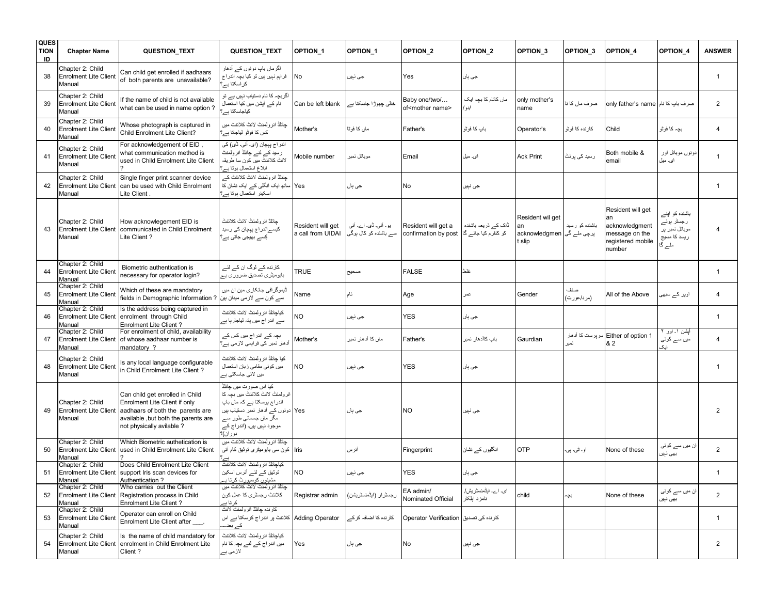| <b>QUES</b><br><b>TION</b><br>ID | <b>Chapter Name</b>                                        | QUESTION_TEXT                                                                                                                                                            | QUESTION_TEXT                                                                                                                                                                                      | OPTION <sub>1</sub>                    | OPTION 1                                      | OPTION <sub>2</sub>                           | OPTION_2                                    | OPTION <sub>3</sub>                                           | OPTION_3          | <b>OPTION 4</b>                                                                            | OPTION 4                                                                 | <b>ANSWER</b>  |
|----------------------------------|------------------------------------------------------------|--------------------------------------------------------------------------------------------------------------------------------------------------------------------------|----------------------------------------------------------------------------------------------------------------------------------------------------------------------------------------------------|----------------------------------------|-----------------------------------------------|-----------------------------------------------|---------------------------------------------|---------------------------------------------------------------|-------------------|--------------------------------------------------------------------------------------------|--------------------------------------------------------------------------|----------------|
| 38                               | Chapter 2: Child<br><b>Enrolment Lite Client</b><br>Manual | Can child get enrolled if aadhaars<br>of both parents are unavailable?                                                                                                   | اگرماں باپ دونوں کے آدھار<br>فراہم نہیں ہیں تو کیا بچہ اندر اج<br>کر اسکتا ہے؟                                                                                                                     | No                                     | جي نٻين                                       | Yes                                           | جي ٻان                                      |                                                               |                   |                                                                                            |                                                                          | $\mathbf{1}$   |
| 39                               | Chapter 2: Child<br><b>Enrolment Lite Client</b><br>Manual | If the name of child is not available<br>what can be used in name option?                                                                                                | اگر بچہ کا نام دستیاب نہیں ہے تو<br>۔<br>نام کے آپشن میں کیا استعمال<br>۔<br>کیاجاسکتا ہے ُ                                                                                                        | Can be left blank                      | خالی چھوڑا جاسکتا ہے                          | Baby one/two/<br>of <mother name=""></mother> | ماں کانام کا بجہ ایک<br>/دو ا               | only mother's<br>name                                         | صرف ماں کا ن      | only father's name صرف باب كا نام                                                          |                                                                          | 2              |
| 40                               | Chapter 2: Child<br><b>Enrolment Lite Client</b><br>Manual | Whose photograph is captured in<br>Child Enrolment Lite Client?                                                                                                          | جِائلڈ انرولمنٹ لائٹ کلائنٹ میں<br>كس كا فوثو ليلجانا بسر؟                                                                                                                                         | Mother's                               | ماں کا فوٹا                                   | Father's                                      | باب كا فوثو                                 | Operator's                                                    | كارنده كا فوثو    | Child                                                                                      | بچہ کا فوٹو                                                              | $\overline{4}$ |
| 41                               | Chapter 2: Child<br><b>Enrolment Lite Client</b><br>Manual | For acknowledgement of EID,<br>what communication method is<br>used in Child Enrolment Lite Client                                                                       | اندر اج پہچان (ای۔ آئی۔ ڈی) کی<br>رسید کے لئے چانلڈ انرولمنٹ<br>لائٹ کلائنٹ میں کون سا طریقہ<br>ابلاغ استعمال ہونا ہے؟                                                                             | Mobile number                          | موبائل نمبر                                   | Email                                         | ای. میل                                     | <b>Ack Print</b>                                              | رسید کی پرنٹ      | Both mobile &<br>email                                                                     | دونوں موبائل اور<br>ای۔ میل                                              | $\mathbf{1}$   |
| 42                               | Chapter 2: Child<br><b>Enrolment Lite Client</b><br>Manual | Single finger print scanner device<br>can be used with Child Enrolment<br>Lite Client                                                                                    | ۔<br>جائلڈ انرولمنٹ لائٹ کلائنٹ ک <i>ے</i><br>ساتھ ایک انگلی کے ایک نشان کا<br>اسکینر استعمال بونا بے؟                                                                                             | Yes                                    | جي ٻان                                        | No                                            | جي نٻين                                     |                                                               |                   |                                                                                            |                                                                          | $\mathbf{1}$   |
| 43                               | Chapter 2: Child<br><b>Enrolment Lite Client</b><br>Manual | How acknowlegement EID is<br>communicated in Child Enrolment<br>Lite Client?                                                                                             | جائلة انر ولمنث لائث كلائنث<br>کیسے اندر اج پہچان کی رسید<br>کِسے بھیجی جاتی ہے؟                                                                                                                   | Resident will get<br>a call from UIDAI | یو۔ آئی۔ ڈی۔ اے۔ آئی<br>سے باشندہ کو کال ہوگی | Resident will get a<br>confirmation by post   | ڈاک کے ذریعہ باشندہ<br>کو کنفرم کیا جائے گا | Resident wil aet<br>an<br>پرچی ملے گی acknowledgmen<br>t slip | باشنده کو رسید    | Resident will get<br>an<br>acknowledgment<br>message on the<br>registered mobile<br>number | باشندہ کو اپنے<br>رجسٹر ہوئے<br>موبائل نمبر پر<br>ریسد کا مسیج<br>ملے گا | $\overline{4}$ |
| 44                               | Chapter 2: Child<br><b>Enrolment Lite Client</b><br>Manual | Biometric authentication is<br>necessary for operator login?                                                                                                             | کارندہ کے لوگ ان کے لئے<br>بایومیٹری تصدیق ضروری ہے                                                                                                                                                | <b>TRUE</b>                            | صحيح                                          | <b>FALSE</b>                                  | غلط                                         |                                                               |                   |                                                                                            |                                                                          | $\mathbf{1}$   |
| 45                               | Chapter 2: Child<br><b>Enrolment Lite Client</b><br>Manual | Which of these are mandatory<br>fields in Demographic Information?                                                                                                       | ڈیموگر اف <i>ی</i> جانکار <i>ی</i> مین ان میں<br>سے کون سے لازمی میدان ہین                                                                                                                         | Name                                   | نام                                           | Age                                           | عمر                                         | Gender                                                        | صنف<br>(مرد/عورت) | All of the Above                                                                           | اوپر کے سبھی                                                             | 4              |
| 46                               | Chapter 2: Child<br><b>Enrolment Lite Client</b><br>Manual | Is the address being captured in<br>enrolment through Child<br>Enrolment Lite Client?                                                                                    | كياجائلاً انر ولمنتْ لائتْ كلائنتْ<br>سے اندر اج میں پتہ لیاجار ہا ہے                                                                                                                              | NO                                     | جي نٻيں                                       | <b>YES</b>                                    | جي ٻان                                      |                                                               |                   |                                                                                            |                                                                          | $\mathbf{1}$   |
| 47                               | Chapter 2: Child<br><b>Enrolment Lite Client</b><br>Manual | For enrolment of child, availability<br>of whose aadhaar number is<br>mandatory ?                                                                                        | بچہ کے اندراج میں کس کے<br>آدھار نمبر کی فراہمی لازمی ہے؟                                                                                                                                          | Mother's                               | ماں کا آدھار نمبر                             | Father's                                      | باب كاآدهار نمبر                            | Gaurdian                                                      | نمبر              | Either of option 1 سرپرست کا آدھار<br>& 2                                                  | أيشن ١۔ اور ٢<br>میں سے کوئی<br>ایک                                      | 4              |
| 48                               | Chapter 2: Child<br><b>Enrolment Lite Client</b><br>Manual | Is any local language configurable<br>in Child Enrolment Lite Client?                                                                                                    | كيا جائلة انر ولمنث لائث كلائنث<br>میں کوئی مقامی زبان استعمال<br>میں لائی جاسکتی ہے                                                                                                               | NΟ                                     | جي نٻيں                                       | <b>YES</b>                                    | جي ٻار                                      |                                                               |                   |                                                                                            |                                                                          | $\mathbf{1}$   |
| 49                               | Chapter 2: Child<br><b>Enrolment Lite Client</b><br>Manual | Can child get enrolled in Child<br>Enrolment Lite Client if only<br>aadhaars of both the parents are<br>available , but both the parents are<br>not physically avilable? | کیا اس صورت میں جائلڈ<br>انر ولمنٹ لائٹ کلائنٹ میں بچہ کا<br>اندر اج بوسکتا ہے کہ ماں باپ<br>Yes دونوں کے آدھار نمبر دستیاب ہیں<br>مگر ماں جسمانی طور سے<br>موجود نہیں ہیں۔ (اندر اج کے<br>دوران): |                                        | جي ٻان                                        | NO.                                           | جي نٻين                                     |                                                               |                   |                                                                                            |                                                                          | $\overline{2}$ |
| 50                               | Chapter 2: Child<br><b>Enrolment Lite Client</b><br>Manual | Which Biometric authetication is<br>used in Child Enrolment Lite Client                                                                                                  | جائلڈ انر ولمنٹ لائٹ کلائنٹ میں<br>lris] کون سی بابومیٹری توٹیق کام آتی                                                                                                                            |                                        | أثرس                                          | Fingerprint                                   | انگلیوں کے نشان                             | <b>OTP</b>                                                    | او ـ تُمي۔ پي۔    | None of these                                                                              | ان میں سے کوئی<br>بهي نېير                                               | $\overline{2}$ |
| 51                               | Chapter 2: Child<br>Manual                                 | Does Child Enrolment Lite Client<br>Enrolment Lite Client support Iris scan devices for<br>Authentication?                                                               | كياجائلاً انر ولمنتْ لائتْ كلائنتْ<br>توثیق کے لئے آئرس اسکین<br>ِ مشینوں کوسپورٹ کرتا ہے                                                                                                          | <b>NO</b>                              | جي نٻين                                       | <b>YES</b>                                    | جي ٻان                                      |                                                               |                   |                                                                                            |                                                                          | $\mathbf{1}$   |
| 52                               | Chapter 2: Child<br><b>Enrolment Lite Client</b><br>Manual | Who carries out the Client<br>Registration process in Child<br>Enrolment Lite Client?                                                                                    | جائلڈ انر و لمنٹ لائٹ کلائنٹ میں<br>کلائنٹ رجسٹری کا عمل کون<br>کر تا ب                                                                                                                            | Registrar admin                        | رجسٹرار (ایڈمنسٹریشن)                         | EA admin/<br>Nominated Official               | ای۔ اے۔ ایڈمنسٹریش/<br>نامزد ابلكار         | child                                                         | بچہ               | None of these                                                                              | ان میں سے کوئی<br>بھی نېيں                                               | $\overline{2}$ |
| 53                               | Chapter 2: Child<br><b>Enrolment Lite Client</b><br>Manual | Operator can enroll on Child<br>Enrolment Lite Client after .                                                                                                            | كارنده جائلة انرولمنث لانث<br>Adding Operator   کلائنٹ پر اندراج کرسکتا ہے اس<br>کے بعنہ                                                                                                           |                                        | کارندہ کا اضافہ کرکے                          | کارندہ کی تصدیق Operator Verification         |                                             |                                                               |                   |                                                                                            |                                                                          | $\mathbf{1}$   |
| 54                               | Chapter 2: Child<br>Manual                                 | Is the name of child mandatory for<br>Enrolment Lite Client enrolment in Child Enrolment Lite<br>Client?                                                                 | كياجائلأ انر ولمنث لائث كلائنث<br>میں اندر اج کے لئے بچہ کا نام<br>لازمی ہے                                                                                                                        | Yes                                    | جي ٻان                                        | No                                            | جي نٻين                                     |                                                               |                   |                                                                                            |                                                                          | $\overline{2}$ |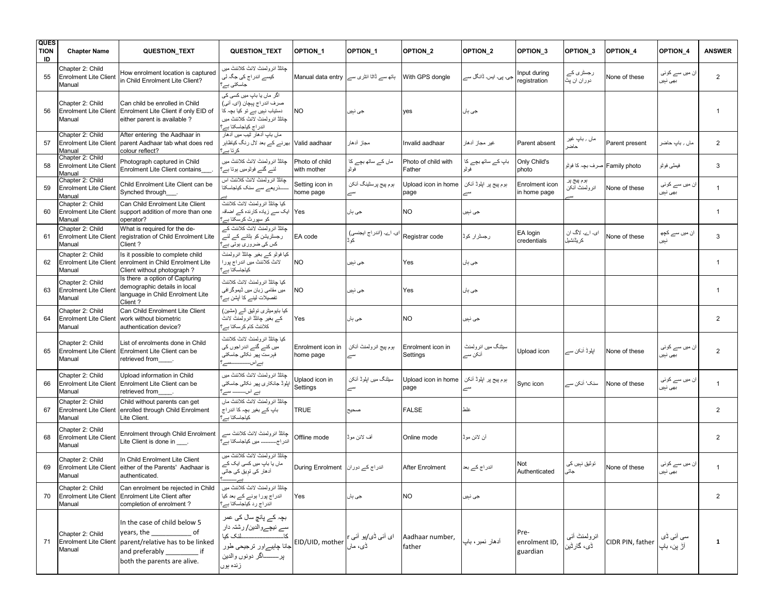| <b>QUES</b><br><b>TION</b><br>ID | <b>Chapter Name</b>                                        | <b>QUESTION_TEXT</b>                                                                                                                                              | QUESTION_TEXT                                                                                                                                                                          | OPTION_1                                | <b>OPTION 1</b>                        | OPTION <sub>2</sub>           | OPTION <sub>2</sub>           | OPTION <sub>3</sub>               | OPTION 3                       | <b>OPTION 4</b>  | OPTION 4                        | <b>ANSWER</b>  |
|----------------------------------|------------------------------------------------------------|-------------------------------------------------------------------------------------------------------------------------------------------------------------------|----------------------------------------------------------------------------------------------------------------------------------------------------------------------------------------|-----------------------------------------|----------------------------------------|-------------------------------|-------------------------------|-----------------------------------|--------------------------------|------------------|---------------------------------|----------------|
| 55                               | Chapter 2: Child<br><b>Enrolment Lite Client</b><br>Manual | How enrolment location is captured<br>in Child Enrolment Lite Client?                                                                                             | جائلاً انر ولمنتْ لائتْ كلائنتْ ميں<br>کیسے اندراج کی جگہ لی<br>جاسکتی ہے؟                                                                                                             | ہاتھ سے ڈاٹا انٹری سے Manual data entry |                                        | With GPS dongle               | جی۔ پی۔ ایس۔ ڈانگل سے         | nput during<br>registration       | رجسٹری کے<br>دوران ان پٹ       | None of these    | ان میں سے کوئی<br>بھی نېيں      | $\overline{2}$ |
| 56                               | Chapter 2: Child<br><b>Enrolment Lite Client</b><br>Manual | Can child be enrolled in Child<br>Enrolment Lite Client if only EID of<br>either parent is available?                                                             | اگر  ماں یا باپ میں کسی کی<br>صرف اندر اج پہچان (ای۔ آئی)<br>دستیاب نہیں ہے تو کیا بچہ کا<br>جائلاً انر ولمنث لائث كلائنث ميں<br>اندر اج کیاجاسکتا ہے '                                | NO.                                     | جي نٻين                                | yes                           | جي ٻان                        |                                   |                                |                  |                                 | $\mathbf{1}$   |
| 57                               | Chapter 2: Child<br><b>Enrolment Lite Client</b><br>Manual | After entering the Aadhaar in<br>parent Aadhaar tab what does red<br>colour reflect?                                                                              | ماں بابِ آدھار ٹیب میں آدھار<br>بھرنے کے بعد لال رنگ کیاظاہر<br>كرتا بـــر؟                                                                                                            | Valid aadhaar                           | مجاز آدهار                             | Invalid aadhaar               | غير مجاز آدهار                | Parent absent                     | ماں ؍ باپ غیر<br>حاضر          | Parent present   | ماں , باپ حاضر                  | $\overline{2}$ |
| 58                               | Chapter 2: Child<br><b>Enrolment Lite Client</b><br>Manual | Photograph captured in Child<br><b>Enrolment Lite Client contains</b>                                                                                             | جائلاً انر ولمنتْ لائتْ كلائنتْ ميں<br>لئے گئے فوٹومیں ہوتا ہے؟                                                                                                                        | Photo of child<br>with mother           | ماں کے ساتھ بچے کا<br>فوثو             | Photo of child with<br>Father | باپ کے ساتھ بچے کا<br>فوتو    | Only Child's<br>photo             | Family photo   صرف بچہ کا فوٹو |                  | فيملي فوثو                      | 3              |
| 59                               | Chapter 2: Child<br><b>Enrolment Lite Client</b><br>Manual | Child Enrolment Lite Client can be<br>Synched through                                                                                                             | جائلڈ انر ولمنٹ لائٹ کلائنٹ اس<br>۔۔۔۔۔۔۔۔ذریعے سے سنک کیاجاسکتا                                                                                                                       | Setting icon in<br>home page            | بوم پيج پرسٹينگ أئكن<br>سے             | Upload icon in home<br>page   | بوم پيج پر ايلوڈ آئکن<br>سے   | Enrolment icon<br>in home page    | ہوم پیج پر<br>انرولمنث أنكن    | None of these    | ان میں سے کوئی<br>بهي نېير      | $\mathbf{1}$   |
| 60                               | Chapter 2: Child<br>Manual                                 | Can Child Enrolment Lite Client<br>Enrolment Lite Client Support addition of more than one<br>operator?                                                           | كيا جائلاً انر و لمنتْ لائتْ كلائنتْ<br>Yes   ایک سے زیادہ کارندہ کے اضافہ<br>کو سپورٹ کرسکتا ہے؟                                                                                      |                                         | جي ٻان                                 | NO.                           | جي نٻين                       |                                   |                                |                  |                                 | $\mathbf{1}$   |
| 61                               | Chapter 2: Child<br><b>Enrolment Lite Client</b><br>Manual | What is required for the de-<br>registration of Child Enrolment Lite<br>Client?                                                                                   | ۔<br>چائلڈ انرولمنٹ لائٹ کلائنٹ کے<br>رجسٹریشن کو ہٹانے کے لئے<br>کس کی ضروری ہوتی ہے؟                                                                                                 | EA code                                 | ای۔ اے۔ (اندر اج ایجنسی)<br>کو ڈ       | Registrar code                | رجسٹرار کوڈ                   | EA login<br>credentials           | ای۔ اے۔ لاگ ان<br>کر یڈنشیل    | None of these    | ان میں سے کچھ                   | 3              |
| 62                               | Chapter 2: Child<br><b>Enrolment Lite Client</b><br>Manual | Is it possible to complete child<br>enrolment in Child Enrolment Lite<br>Client without photograph?                                                               | کیا فوٹو کہ بغیر چائلڈ انرولمنٹ<br>لائٹ کلائنٹ میں اندر اج پور ا<br>كياجاسكتا بے؟                                                                                                      | <b>NO</b>                               | جي نٻين                                | Yes                           | جي ٻان                        |                                   |                                |                  |                                 | $\mathbf{1}$   |
| 63                               | Chapter 2: Child<br><b>Enrolment Lite Client</b><br>Manual | Is there a option of Capturing<br>demographic details in local<br>language in Child Enrolment Lite<br>Client?                                                     | كيا جائلة انرولمنث لائث كلائنث<br>میں مقامی زبان میں ڈیموگر افی<br>تفصيلات لينے كا آيشن ہے؟                                                                                            | NO                                      | جي نٻين                                | Yes                           | جي ٻان                        |                                   |                                |                  |                                 | $\mathbf{1}$   |
| 64                               | Chapter 2: Child<br><b>Enrolment Lite Client</b><br>Manual | Can Child Enrolment Lite Client<br>work without biometric<br>authentication device?                                                                               | کیا بایومیٹری نوئیق آلـــر (مشین)<br>کے بغیر چانلڈ انرولمنٹ لانٹ<br>کلائنٹ کام کر سکتا ہے؟                                                                                             | Yes                                     | جي ٻان                                 | NO.                           | جي نٻين                       |                                   |                                |                  |                                 | $\overline{2}$ |
| 65                               | Chapter 2: Child<br>Manual                                 | List of enrolments done in Child<br>Enrolment Lite Client Enrolment Lite Client can be<br>retrieved from .                                                        | كيا جائلاً انر ولمنتْ لائتْ كلائنتْ<br>میں کئے گئے اندراجوں کی<br>فبرست پهر نكالي جاسكتي                                                                                               | Enrolment icon in<br>home page          | بوم پيج انرولمنث أنكن<br>سے            | Enrolment icon in<br>Settings | سیٹنگ میں انرولمنٹ<br>آئکن سے | Upload icon                       | اپلوڈ آئکن سے                  | None of these    | ان میں سے کوئی<br>بھی نېيں      | $\overline{2}$ |
| 66                               | Chapter 2: Child<br><b>Enrolment Lite Client</b><br>Manual | Upload information in Child<br>Enrolment Lite Client can be<br>retrieved from                                                                                     | جائلڈ انر ولمنٹ لائٹ کلائنٹ میں<br>اپلوڈ جانکاری پھر نکالی جاسکتی<br>ہے اســــــــ سے:                                                                                                 | Uplaod icon in<br>Settings              | سیٹنگ میں اپلوڈ أئکن<br>سے             | Upload icon in home<br>page   | ہوم پیج پر اپلوڈ آئکن<br>سے   | Sync icon                         | سنک' آئکن سے                   | None of these    | ان میں سے کوئی<br>بھی نېيں      | $\mathbf{1}$   |
| 67                               | Chapter 2: Child<br><b>Enrolment Lite Client</b><br>Manual | Child without parents can get<br>enrolled through Child Enrolment<br>Lite Client.                                                                                 | جائلڈ انر ولمنٹ لائٹ کلائنٹ مار<br>باپ کے بغیر بچہ کا اندر اج<br>كباجاسكتا بے؟                                                                                                         | <b>TRUE</b>                             | صحيح                                   | <b>FALSE</b>                  | غلط                           |                                   |                                |                  |                                 | 2              |
| 68                               | Chapter 2: Child<br><b>Enrolment Lite Client</b><br>Manual | Enrolment through Child Enrolment<br>Lite Client is done in .                                                                                                     | چائلڈ انرولمنٹ لائٹ کلائنٹ سے<br>اندر اج میں کیاجاسکتا ہے؟                                                                                                                             | Offline mode                            | أف لائن موڭ                            | Online mode                   | أن لائن موڭ                   |                                   |                                |                  |                                 | $\overline{2}$ |
| 69                               | Chapter 2: Child<br>Manual                                 | In Child Enrolment Lite Client<br>Enrolment Lite Client either of the Parents' Aadhaar is<br>authenticated.                                                       | جائلة انر ولمنتْ لانتْ كلاننتْ ميں<br>ماں یا باپ میں کسی ایک کے<br>آدھار کی تویق کی جاتی                                                                                               | اندراج کے دوران During Enrolment        |                                        | After Enrolment               | اندر اج کے بعا                | Not<br>Authenticated              | توٹیق نہیں کی<br>جاتى          | None of these    | ان میں سے کوئی<br>بھی نېيں      | $\mathbf{1}$   |
| 70                               | Chapter 2: Child<br><b>Enrolment Lite Client</b><br>Manual | Can enrolment be rejected in Child<br><b>Enrolment Lite Client after</b><br>completion of enrolment?                                                              | اندراج پورا ہونے کے بعد کیا<br>اندر اج رد کیاجاسکتا ہے؟                                                                                                                                | Yes                                     | جي ٻان                                 | <b>NO</b>                     | جي نٻيں                       |                                   |                                |                  |                                 | $\overline{2}$ |
| 71                               | Chapter 2: Child<br>Manual                                 | In the case of child below 5<br>years, the<br>of<br>Enrolment Lite Client parent/relative has to be linked<br>and preferably<br>if<br>both the parents are alive. | بچہ کے پانچ سال کی عمر<br>سے نیچےوالدین/ رشتہ دار<br>ے ہیں۔<br>کا۔۔۔۔۔۔۔۔۔۔۔۔۔۔۔۔۔۔۔۔۔۔۔۔۔۔۔۔۔۔۔۔۔۔انک کیا<br>۔<br>جانا چاہیےاور ترجیحی طور<br>پر ــــــــاگر دونوں والدین<br>زنده بوں | EID/UID, mother                         | ای آئی ڈ <i>ی/</i> یو آئی r<br>ڈی، ماں | Aadhaar number,<br>father     | آدهار نمبر ، باب              | Pre-<br>enrolment ID,<br>guardian | انرولمنٹ آئی<br>ڈی، گارٹین     | CIDR PIN, father | سی آئی ڈ <i>ی</i><br>آڑ پن، باپ | $\mathbf{1}$   |